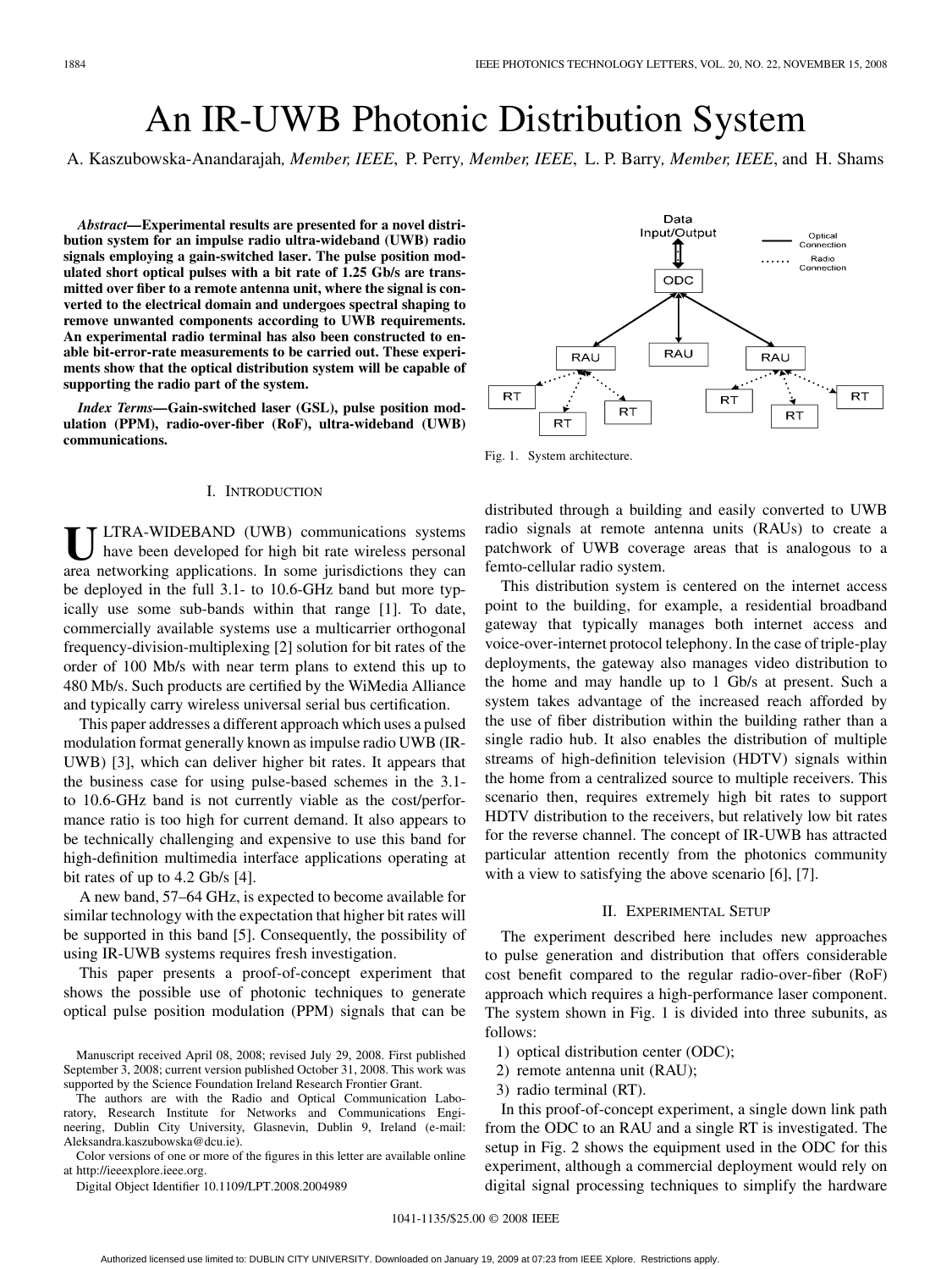# An IR-UWB Photonic Distribution System

A. Kaszubowska-Anandarajah*, Member, IEEE*, P. Perry*, Member, IEEE*, L. P. Barry*, Member, IEEE*, and H. Shams

*Abstract—***Experimental results are presented for a novel distribution system for an impulse radio ultra-wideband (UWB) radio signals employing a gain-switched laser. The pulse position modulated short optical pulses with a bit rate of 1.25 Gb/s are transmitted over fiber to a remote antenna unit, where the signal is converted to the electrical domain and undergoes spectral shaping to remove unwanted components according to UWB requirements. An experimental radio terminal has also been constructed to enable bit-error-rate measurements to be carried out. These experiments show that the optical distribution system will be capable of supporting the radio part of the system.**

*Index Terms—***Gain-switched laser (GSL), pulse position modulation (PPM), radio-over-fiber (RoF), ultra-wideband (UWB) communications.**

### I. INTRODUCTION

ULTRA-WIDEBAND (UWB) communications systems<br>have been developed for high bit rate wireless personal<br>gree networking emploations. In some inicidations thay can area networking applications. In some jurisdictions they can be deployed in the full 3.1- to 10.6-GHz band but more typically use some sub-bands within that range [1]. To date, commercially available systems use a multicarrier orthogonal frequency-division-multiplexing [2] solution for bit rates of the order of 100 Mb/s with near term plans to extend this up to 480 Mb/s. Such products are certified by the WiMedia Alliance and typically carry wireless universal serial bus certification.

This paper addresses a different approach which uses a pulsed modulation format generally known as impulse radio UWB (IR-UWB) [3], which can deliver higher bit rates. It appears that the business case for using pulse-based schemes in the 3.1 to 10.6-GHz band is not currently viable as the cost/performance ratio is too high for current demand. It also appears to be technically challenging and expensive to use this band for high-definition multimedia interface applications operating at bit rates of up to 4.2 Gb/s [4].

A new band, 57–64 GHz, is expected to become available for similar technology with the expectation that higher bit rates will be supported in this band [5]. Consequently, the possibility of using IR-UWB systems requires fresh investigation.

This paper presents a proof-of-concept experiment that shows the possible use of photonic techniques to generate optical pulse position modulation (PPM) signals that can be

The authors are with the Radio and Optical Communication Laboratory, Research Institute for Networks and Communications Engineering, Dublin City University, Glasnevin, Dublin 9, Ireland (e-mail: Aleksandra.kaszubowska@dcu.ie).

Color versions of one or more of the figures in this letter are available online at http://ieeexplore.ieee.org.

Digital Object Identifier 10.1109/LPT.2008.2004989

Data Input/Output Optical<br>Connection  $\mathop{\mathbb{I}}$ Radio Connection ODC **RAU RAU** RAU **RT RT RT RT**  $RT$ **RT** 

Fig. 1. System architecture.

distributed through a building and easily converted to UWB radio signals at remote antenna units (RAUs) to create a patchwork of UWB coverage areas that is analogous to a femto-cellular radio system.

This distribution system is centered on the internet access point to the building, for example, a residential broadband gateway that typically manages both internet access and voice-over-internet protocol telephony. In the case of triple-play deployments, the gateway also manages video distribution to the home and may handle up to 1 Gb/s at present. Such a system takes advantage of the increased reach afforded by the use of fiber distribution within the building rather than a single radio hub. It also enables the distribution of multiple streams of high-definition television (HDTV) signals within the home from a centralized source to multiple receivers. This scenario then, requires extremely high bit rates to support HDTV distribution to the receivers, but relatively low bit rates for the reverse channel. The concept of IR-UWB has attracted particular attention recently from the photonics community with a view to satisfying the above scenario [6], [7].

#### II. EXPERIMENTAL SETUP

The experiment described here includes new approaches to pulse generation and distribution that offers considerable cost benefit compared to the regular radio-over-fiber (RoF) approach which requires a high-performance laser component. The system shown in Fig. 1 is divided into three subunits, as follows:

- 1) optical distribution center (ODC);
- 2) remote antenna unit (RAU);
- 3) radio terminal (RT).

In this proof-of-concept experiment, a single down link path from the ODC to an RAU and a single RT is investigated. The setup in Fig. 2 shows the equipment used in the ODC for this experiment, although a commercial deployment would rely on digital signal processing techniques to simplify the hardware

Manuscript received April 08, 2008; revised July 29, 2008. First published September 3, 2008; current version published October 31, 2008. This work was supported by the Science Foundation Ireland Research Frontier Grant.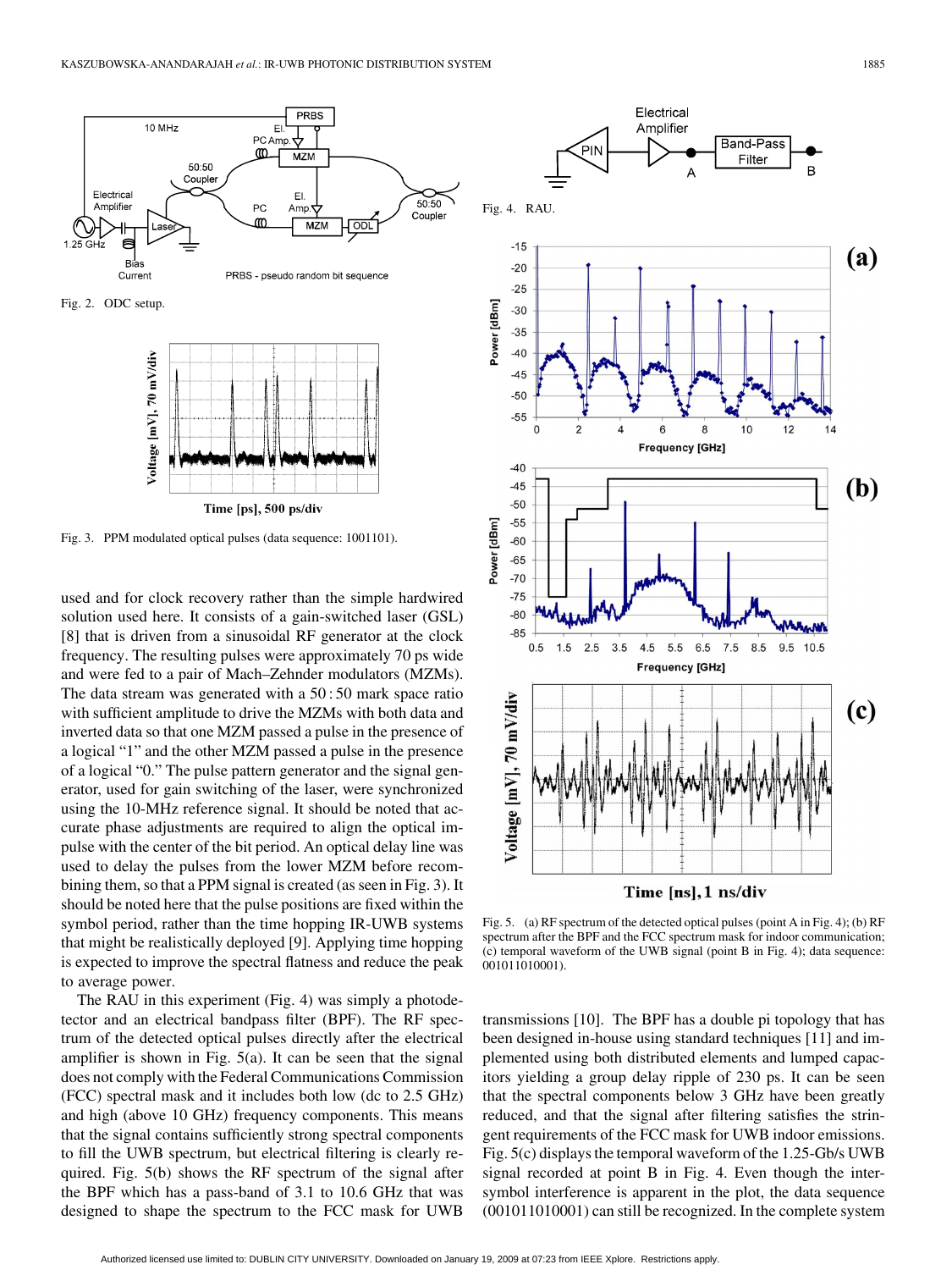

Fig. 2. ODC setup.



Fig. 3. PPM modulated optical pulses (data sequence: 1001101).

used and for clock recovery rather than the simple hardwired solution used here. It consists of a gain-switched laser (GSL) [8] that is driven from a sinusoidal RF generator at the clock frequency. The resulting pulses were approximately 70 ps wide and were fed to a pair of Mach–Zehnder modulators (MZMs). The data stream was generated with a 50 : 50 mark space ratio with sufficient amplitude to drive the MZMs with both data and inverted data so that one MZM passed a pulse in the presence of a logical "1" and the other MZM passed a pulse in the presence of a logical "0." The pulse pattern generator and the signal generator, used for gain switching of the laser, were synchronized using the 10-MHz reference signal. It should be noted that accurate phase adjustments are required to align the optical impulse with the center of the bit period. An optical delay line was used to delay the pulses from the lower MZM before recombining them, so that a PPM signal is created (as seen in Fig. 3). It should be noted here that the pulse positions are fixed within the symbol period, rather than the time hopping IR-UWB systems that might be realistically deployed [9]. Applying time hopping is expected to improve the spectral flatness and reduce the peak to average power.

The RAU in this experiment (Fig. 4) was simply a photodetector and an electrical bandpass filter (BPF). The RF spectrum of the detected optical pulses directly after the electrical amplifier is shown in Fig. 5(a). It can be seen that the signal does not comply with the Federal Communications Commission (FCC) spectral mask and it includes both low (dc to 2.5 GHz) and high (above 10 GHz) frequency components. This means that the signal contains sufficiently strong spectral components to fill the UWB spectrum, but electrical filtering is clearly required. Fig. 5(b) shows the RF spectrum of the signal after the BPF which has a pass-band of 3.1 to 10.6 GHz that was designed to shape the spectrum to the FCC mask for UWB



Fig. 5. (a) RF spectrum of the detected optical pulses (point A in Fig. 4); (b) RF spectrum after the BPF and the FCC spectrum mask for indoor communication; (c) temporal waveform of the UWB signal (point B in Fig. 4); data sequence: 001011010001).

transmissions [10]. The BPF has a double pi topology that has been designed in-house using standard techniques [11] and implemented using both distributed elements and lumped capacitors yielding a group delay ripple of 230 ps. It can be seen that the spectral components below 3 GHz have been greatly reduced, and that the signal after filtering satisfies the stringent requirements of the FCC mask for UWB indoor emissions. Fig. 5(c) displays the temporal waveform of the 1.25-Gb/s UWB signal recorded at point B in Fig. 4. Even though the intersymbol interference is apparent in the plot, the data sequence (001011010001) can still be recognized. In the complete system